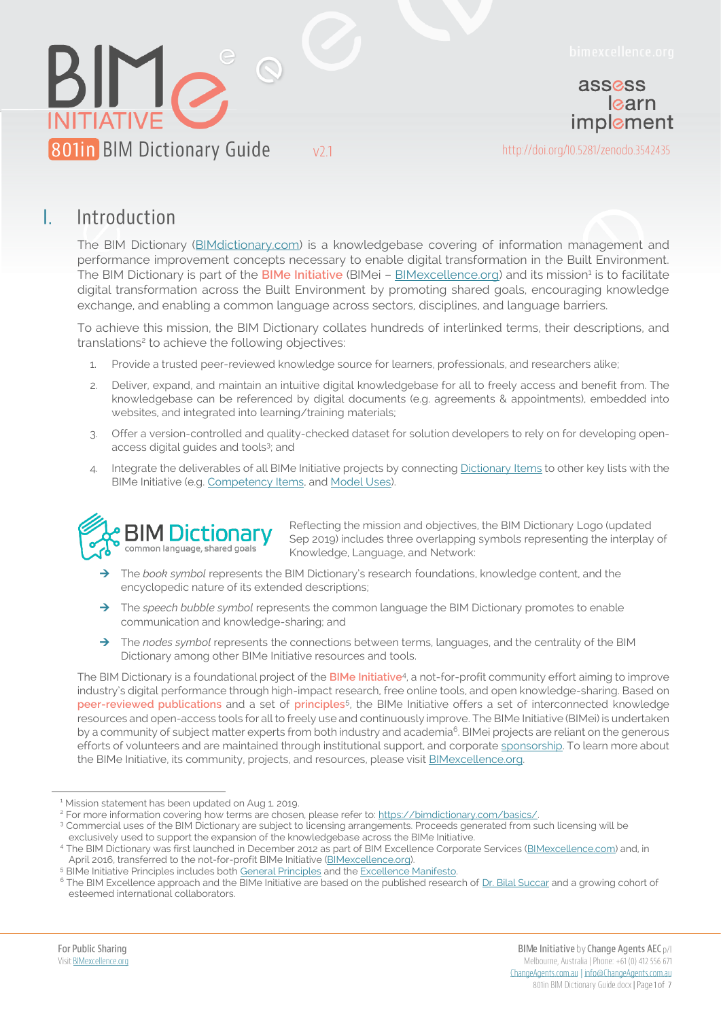

assess learn implement

http://doi.org/10.5281/zenodo.3542435

#### Е Introduction

The BIM Dictionary [\(BIMdictionary.com\)](https://bimdictionary.com/) is a knowledgebase covering of information management and performance improvement concepts necessary to enable digital transformation in the Built Environment. The BIM Dictionary is part of the BIMe Initiative (BIMei - [BIMexcellence.org\)](https://bimexcellence.org/) and its mission<sup>1</sup> is to facilitate digital transformation across the Built Environment by promoting shared goals, encouraging knowledge exchange, and enabling a common language across sectors, disciplines, and language barriers.

To achieve this mission, the BIM Dictionary collates hundreds of interlinked terms, their descriptions, and translations<sup>2</sup> to achieve the following objectives:

1. Provide a trusted peer-reviewed knowledge source for learners, professionals, and researchers alike;

 $V<sub>2.1</sub>$ 

- 2. Deliver, expand, and maintain an intuitive digital knowledgebase for all to freely access and benefit from. The knowledgebase can be referenced by digital documents (e.g. agreements & appointments), embedded into websites, and integrated into learning/training materials;
- 3. Offer a version-controlled and quality-checked dataset for solution developers to rely on for developing openaccess digital guides and tools<sup>3</sup>; and
- 4. Integrate the deliverables of all BIMe Initiative projects by connectin[g Dictionary Items](https://bimdictionary.com/en/dictionary-item/1/) to other key lists with the BIMe Initiative (e.g. [Competency Items,](https://bimexcellence.org/201in/) and [Model Uses\)](https://bimexcellence.org/211in/).



Reflecting the mission and objectives, the BIM Dictionary Logo (updated Sep 2019) includes three overlapping symbols representing the interplay of Knowledge, Language, and Network:

- The *book symbol* represents the BIM Dictionary's research foundations, knowledge content, and the encyclopedic nature of its extended descriptions;
- $\rightarrow$  The *speech bubble symbol* represents the common language the BIM Dictionary promotes to enable communication and knowledge-sharing; and
- $\rightarrow$  The *nodes symbol* represents the connections between terms, languages, and the centrality of the BIM Dictionary among other BIMe Initiative resources and tools.

The BIM Dictionary is a foundational project of the **BIMe Initiative**<sup>4</sup> , a not-for-profit community effort aiming to improve industry's digital performance through high-impact research, free online tools, and open knowledge-sharing. Based on **peer-reviewed publications** and a set of **principles**<sup>5</sup> , the BIMe Initiative offers a set of interconnected knowledge resources and open-access tools for all to freely use and continuously improve. The BIMe Initiative (BIMei) is undertaken by a community of subject matter experts from both industry and academia<sup>6</sup>. BIMei projects are reliant on the generous efforts of volunteers and are maintained through institutional support, and corporate [sponsorship.](https://bimexcellence.org/sponsors/) To learn more about the BIMe Initiative, its community, projects, and resources, please visit [BIMexcellence.org.](https://bimexcellence.org/)

<sup>&</sup>lt;sup>1</sup> Mission statement has been updated on Aug 1, 2019.

<sup>&</sup>lt;sup>2</sup> For more information covering how terms are chosen, please refer to[: https://bimdictionary.com/basics/.](https://bimdictionary.com/basics/)

<sup>&</sup>lt;sup>3</sup> Commercial uses of the BIM Dictionary are subject to licensing arrangements. Proceeds generated from such licensing will be exclusively used to support the expansion of the knowledgebase across the BIMe Initiative.

<sup>4</sup> The BIM Dictionary was first launched in December 2012 as part of BIM Excellence Corporate Services [\(BIMexcellence.com\)](https://bimexcellence.com/) and, in April 2016, transferred to the not-for-profit BIMe Initiative [\(BIMexcellence.org\)](https://bimexcellence.org/).

<sup>&</sup>lt;sup>5</sup> BIMe Initiative Principles includes bot[h General Principles](https://bimexcellence.org/principles/) and th[e Excellence Manifesto.](https://bimexcellence.org/principles/manifesto/)

<sup>&</sup>lt;sup>6</sup> The BIM Excellence approach and the BIMe Initiative are based on the published research of [Dr. Bilal Succar](https://newcastle-au.academia.edu/BilalSuccar) and a growing cohort of esteemed international collaborators.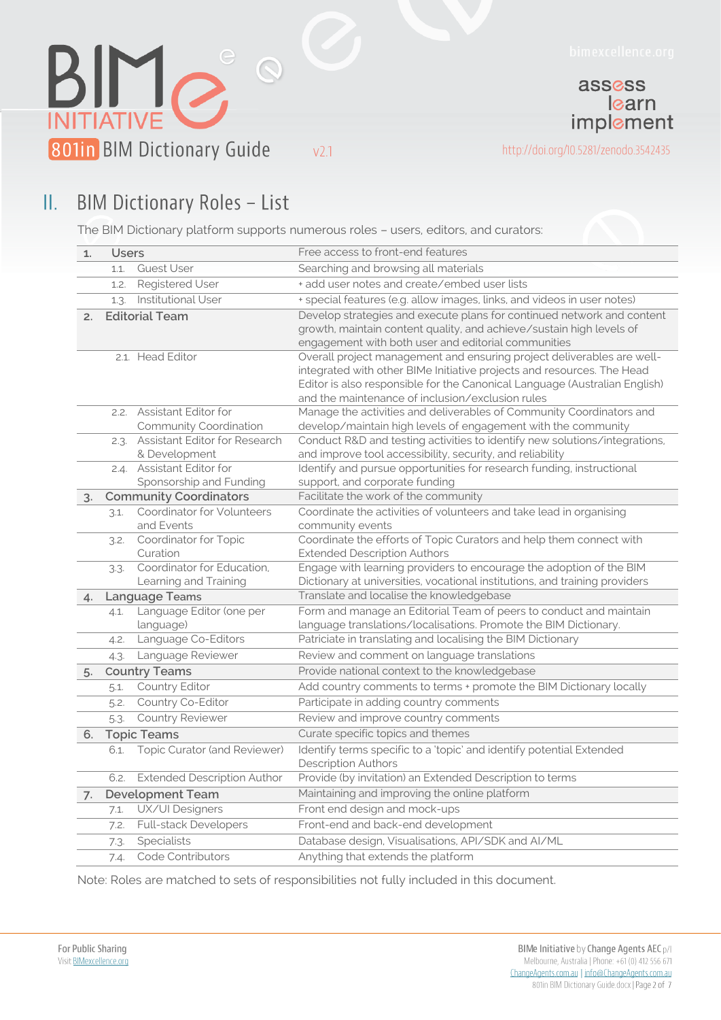



 $V<sub>2.1</sub>$ 

learn implement

assess

http://doi.org/10.5281/zenodo.3542435

#### **BIM Dictionary Roles - List** Ш.

The BIM Dictionary platform supports numerous roles – users, editors, and curators:

| 1. | <b>Users</b>          |                                        | Free access to front-end features                                                                                                              |
|----|-----------------------|----------------------------------------|------------------------------------------------------------------------------------------------------------------------------------------------|
|    | 1.1.                  | <b>Guest User</b>                      | Searching and browsing all materials                                                                                                           |
|    | 1.2.                  | <b>Registered User</b>                 | + add user notes and create/embed user lists                                                                                                   |
|    | 1.3.                  | Institutional User                     | + special features (e.g. allow images, links, and videos in user notes)                                                                        |
| 2. | <b>Editorial Team</b> |                                        | Develop strategies and execute plans for continued network and content<br>growth, maintain content quality, and achieve/sustain high levels of |
|    |                       |                                        | engagement with both user and editorial communities                                                                                            |
|    |                       | 2.1. Head Editor                       | Overall project management and ensuring project deliverables are well-                                                                         |
|    |                       |                                        | integrated with other BIMe Initiative projects and resources. The Head                                                                         |
|    |                       |                                        | Editor is also responsible for the Canonical Language (Australian English)<br>and the maintenance of inclusion/exclusion rules                 |
|    |                       | 2.2. Assistant Editor for              | Manage the activities and deliverables of Community Coordinators and                                                                           |
|    |                       | Community Coordination                 | develop/maintain high levels of engagement with the community                                                                                  |
|    | 2.3.                  | Assistant Editor for Research          | Conduct R&D and testing activities to identify new solutions/integrations,                                                                     |
|    |                       | & Development                          | and improve tool accessibility, security, and reliability                                                                                      |
|    |                       | 2.4. Assistant Editor for              | Identify and pursue opportunities for research funding, instructional                                                                          |
|    |                       | Sponsorship and Funding                | support, and corporate funding                                                                                                                 |
| 3. |                       | <b>Community Coordinators</b>          | Facilitate the work of the community                                                                                                           |
|    | 3.1.                  | Coordinator for Volunteers             | Coordinate the activities of volunteers and take lead in organising                                                                            |
|    |                       | and Events                             | community events                                                                                                                               |
|    | 3.2.                  | Coordinator for Topic                  | Coordinate the efforts of Topic Curators and help them connect with                                                                            |
|    |                       | Curation<br>Coordinator for Education. | <b>Extended Description Authors</b><br>Engage with learning providers to encourage the adoption of the BIM                                     |
|    | 3.3.                  | Learning and Training                  | Dictionary at universities, vocational institutions, and training providers                                                                    |
| 4. |                       | Language Teams                         | Translate and localise the knowledgebase                                                                                                       |
|    | 4.1.                  | Language Editor (one per               | Form and manage an Editorial Team of peers to conduct and maintain                                                                             |
|    |                       | language)                              | language translations/localisations. Promote the BIM Dictionary.                                                                               |
|    | 4.2.                  | Language Co-Editors                    | Patriciate in translating and localising the BIM Dictionary                                                                                    |
|    | 4.3.                  | Language Reviewer                      | Review and comment on language translations                                                                                                    |
| 5. | <b>Country Teams</b>  |                                        | Provide national context to the knowledgebase                                                                                                  |
|    | 5.1.                  | <b>Country Editor</b>                  | Add country comments to terms + promote the BIM Dictionary locally                                                                             |
|    | 5.2.                  | Country Co-Editor                      | Participate in adding country comments                                                                                                         |
|    | 5.3.                  | <b>Country Reviewer</b>                | Review and improve country comments                                                                                                            |
| 6. |                       | <b>Topic Teams</b>                     | Curate specific topics and themes                                                                                                              |
|    | 6.1.                  | Topic Curator (and Reviewer)           | Identify terms specific to a 'topic' and identify potential Extended                                                                           |
|    |                       |                                        | <b>Description Authors</b>                                                                                                                     |
|    | 6.2.                  | <b>Extended Description Author</b>     | Provide (by invitation) an Extended Description to terms                                                                                       |
| 7. |                       | <b>Development Team</b>                | Maintaining and improving the online platform                                                                                                  |
|    | 7.1.                  | UX/UI Designers                        | Front end design and mock-ups                                                                                                                  |
|    | 7.2.                  | <b>Full-stack Developers</b>           | Front-end and back-end development                                                                                                             |
|    | 7.3.                  | Specialists                            | Database design, Visualisations, API/SDK and AI/ML                                                                                             |
|    | 7.4.                  | Code Contributors                      | Anything that extends the platform                                                                                                             |

Note: Roles are matched to sets of responsibilities not fully included in this document.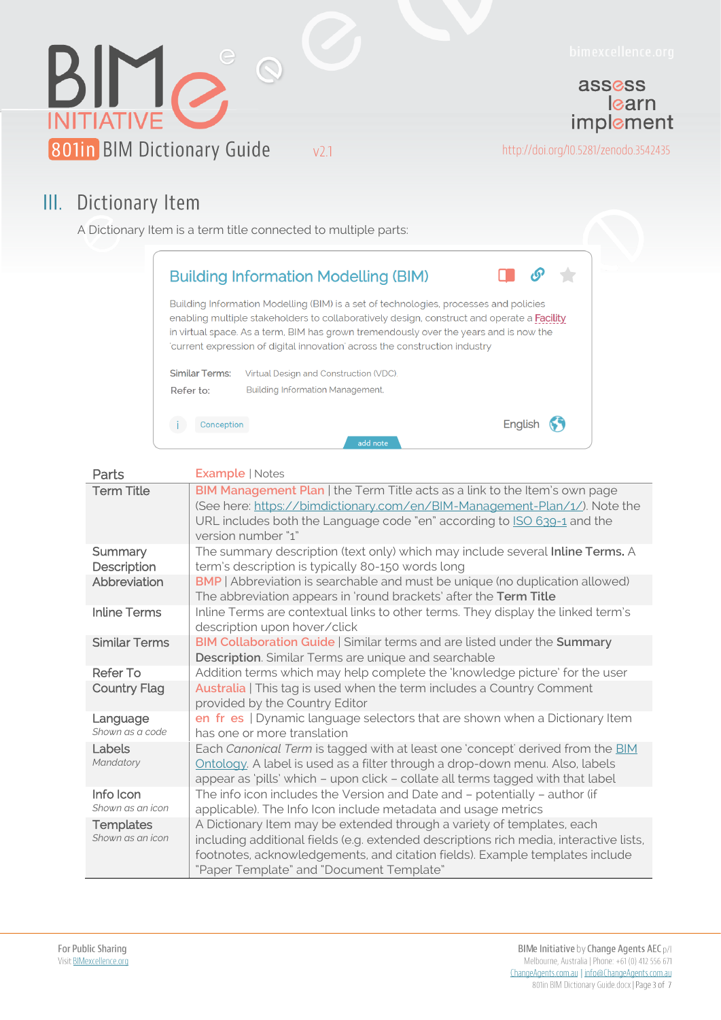

### III. Dictionary Item

A Dictionary Item is a term title connected to multiple parts:

|                                                                                                                                                                                                                                                                                                                                                           | <b>Building Information Modelling (BIM)</b> |  |  |  |  |
|-----------------------------------------------------------------------------------------------------------------------------------------------------------------------------------------------------------------------------------------------------------------------------------------------------------------------------------------------------------|---------------------------------------------|--|--|--|--|
| Building Information Modelling (BIM) is a set of technologies, processes and policies<br>enabling multiple stakeholders to collaboratively design, construct and operate a Facility<br>in virtual space. As a term, BIM has grown tremendously over the years and is now the<br>current expression of digital innovation across the construction industry |                                             |  |  |  |  |
| <b>Similar Terms:</b>                                                                                                                                                                                                                                                                                                                                     | Virtual Design and Construction (VDC)       |  |  |  |  |
| Refer to:                                                                                                                                                                                                                                                                                                                                                 | <b>Building Information Management,</b>     |  |  |  |  |
| Conception                                                                                                                                                                                                                                                                                                                                                | Englis                                      |  |  |  |  |
|                                                                                                                                                                                                                                                                                                                                                           | add note                                    |  |  |  |  |

| Parts                                | <b>Example   Notes</b>                                                                                                                                                                                                                                                                       |  |  |  |
|--------------------------------------|----------------------------------------------------------------------------------------------------------------------------------------------------------------------------------------------------------------------------------------------------------------------------------------------|--|--|--|
| <b>Term Title</b>                    | BIM Management Plan   the Term Title acts as a link to the Item's own page<br>(See here: https://bimdictionary.com/en/BIM-Management-Plan/1/). Note the<br>URL includes both the Language code "en" according to ISO 639-1 and the<br>version number "1"                                     |  |  |  |
| Summary<br>Description               | The summary description (text only) which may include several Inline Terms. A<br>term's description is typically 80-150 words long                                                                                                                                                           |  |  |  |
| Abbreviation                         | <b>BMP</b>   Abbreviation is searchable and must be unique (no duplication allowed)<br>The abbreviation appears in 'round brackets' after the Term Title                                                                                                                                     |  |  |  |
| <b>Inline Terms</b>                  | Inline Terms are contextual links to other terms. They display the linked term's<br>description upon hover/click                                                                                                                                                                             |  |  |  |
| <b>Similar Terms</b>                 | BIM Collaboration Guide   Similar terms and are listed under the Summary<br>Description. Similar Terms are unique and searchable                                                                                                                                                             |  |  |  |
| <b>Refer To</b>                      | Addition terms which may help complete the 'knowledge picture' for the user                                                                                                                                                                                                                  |  |  |  |
| <b>Country Flag</b>                  | Australia   This tag is used when the term includes a Country Comment<br>provided by the Country Editor                                                                                                                                                                                      |  |  |  |
| Language<br>Shown as a code          | en fr es   Dynamic language selectors that are shown when a Dictionary Item<br>has one or more translation                                                                                                                                                                                   |  |  |  |
| Labels<br>Mandatory                  | Each Canonical Term is tagged with at least one 'concept' derived from the BIM<br>Ontology. A label is used as a filter through a drop-down menu. Also, labels<br>appear as 'pills' which - upon click - collate all terms tagged with that label                                            |  |  |  |
| Info Icon<br>Shown as an icon        | The info icon includes the Version and Date and - potentially - author (if<br>applicable). The Info Icon include metadata and usage metrics                                                                                                                                                  |  |  |  |
| <b>Templates</b><br>Shown as an icon | A Dictionary Item may be extended through a variety of templates, each<br>including additional fields (e.g. extended descriptions rich media, interactive lists,<br>footnotes, acknowledgements, and citation fields). Example templates include<br>"Paper Template" and "Document Template" |  |  |  |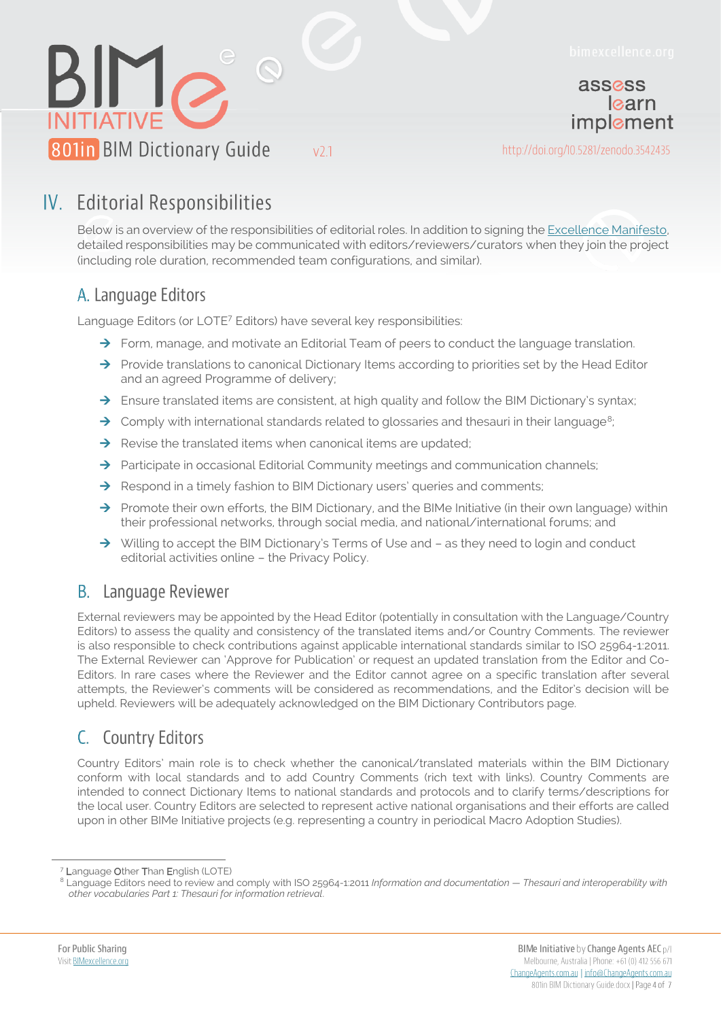

learn implement

assess



http://doi.org/10.5281/zenodo.3542435

# IV. Editorial Responsibilities

Below is an overview of the responsibilities of editorial roles. In addition to signing the Excellence Manifesto, detailed responsibilities may be communicated with editors/reviewers/curators when they join the project (including role duration, recommended team configurations, and similar).

#### A. Language Editors

Language Editors (or LOTE<sup>7</sup> Editors) have several key responsibilities:

- $\rightarrow$  Form, manage, and motivate an Editorial Team of peers to conduct the language translation.
- $\rightarrow$  Provide translations to canonical Dictionary Items according to priorities set by the Head Editor and an agreed Programme of delivery;
- $\rightarrow$  Ensure translated items are consistent, at high quality and follow the BIM Dictionary's syntax;
- $\rightarrow$  Comply with international standards related to glossaries and thesauri in their language<sup>8</sup>;
- $\rightarrow$  Revise the translated items when canonical items are updated;
- $\rightarrow$  Participate in occasional Editorial Community meetings and communication channels;
- $\rightarrow$  Respond in a timely fashion to BIM Dictionary users' queries and comments;
- $\rightarrow$  Promote their own efforts, the BIM Dictionary, and the BIMe Initiative (in their own language) within their professional networks, through social media, and national/international forums; and
- $\rightarrow$  Willing to accept the BIM Dictionary's Terms of Use and  $-$  as they need to login and conduct editorial activities online – the Privacy Policy.

#### **B.** Language Reviewer

External reviewers may be appointed by the Head Editor (potentially in consultation with the Language/Country Editors) to assess the quality and consistency of the translated items and/or Country Comments. The reviewer is also responsible to check contributions against applicable international standards similar to ISO 25964-1:2011. The External Reviewer can 'Approve for Publication' or request an updated translation from the Editor and Co-Editors. In rare cases where the Reviewer and the Editor cannot agree on a specific translation after several attempts, the Reviewer's comments will be considered as recommendations, and the Editor's decision will be upheld. Reviewers will be adequately acknowledged on the BIM Dictionary Contributors page.

### C. Country Editors

Country Editors' main role is to check whether the canonical/translated materials within the BIM Dictionary conform with local standards and to add Country Comments (rich text with links). Country Comments are intended to connect Dictionary Items to national standards and protocols and to clarify terms/descriptions for the local user. Country Editors are selected to represent active national organisations and their efforts are called upon in other BIMe Initiative projects (e.g. representing a country in periodical Macro Adoption Studies).

<sup>7</sup> Language Other Than English (LOTE)

<sup>8</sup> Language Editors need to review and comply with ISO 25964-1:2011 *Information and documentation — Thesauri and interoperability with other vocabularies Part 1: Thesauri for information retrieval*.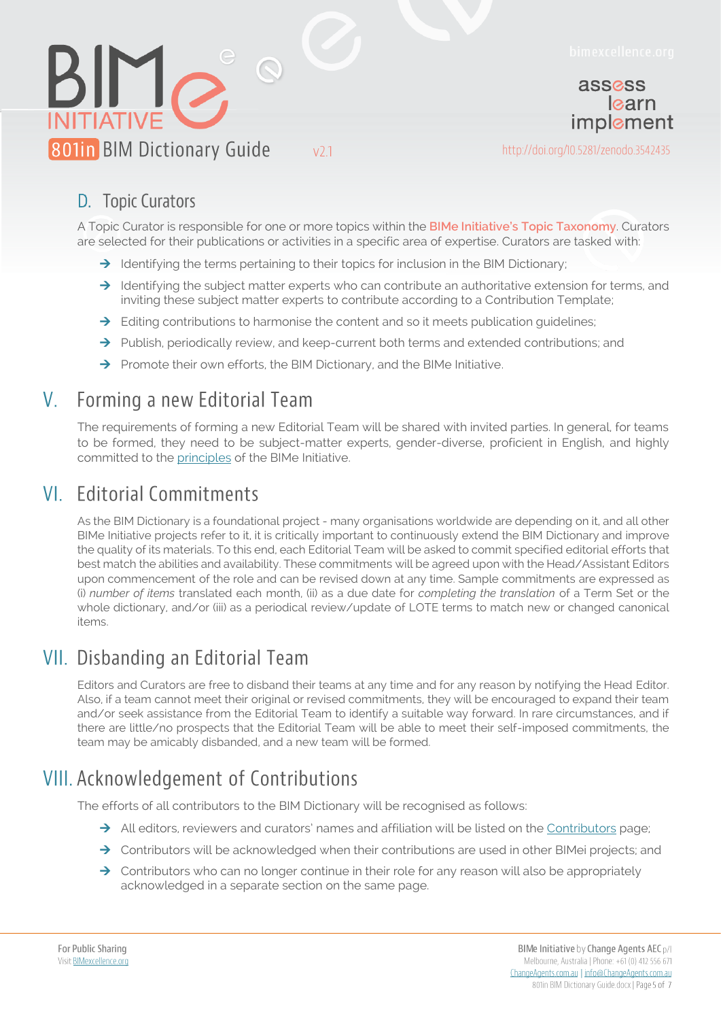

assess learn implement

http://doi.org/10.5281/zenodo.3542435

#### D. Topic Curators

A Topic Curator is responsible for one or more topics within the **BIMe Initiative's Topic Taxonomy**. Curators are selected for their publications or activities in a specific area of expertise. Curators are tasked with:

 $\rightarrow$  Identifying the terms pertaining to their topics for inclusion in the BIM Dictionary;

 $V<sub>2.1</sub>$ 

- $\rightarrow$  Identifying the subject matter experts who can contribute an authoritative extension for terms, and inviting these subject matter experts to contribute according to a Contribution Template;
- $\rightarrow$  Editing contributions to harmonise the content and so it meets publication guidelines;
- $\rightarrow$  Publish, periodically review, and keep-current both terms and extended contributions; and
- $\rightarrow$  Promote their own efforts, the BIM Dictionary, and the BIMe Initiative.

### V. Forming a new Editorial Team

The requirements of forming a new Editorial Team will be shared with invited parties. In general, for teams to be formed, they need to be subject-matter experts, gender-diverse, proficient in English, and highly committed to the [principles](https://bimexcellence.org/principles/) of the BIMe Initiative.

# VI. Editorial Commitments

As the BIM Dictionary is a foundational project - many organisations worldwide are depending on it, and all other BIMe Initiative projects refer to it, it is critically important to continuously extend the BIM Dictionary and improve the quality of its materials. To this end, each Editorial Team will be asked to commit specified editorial efforts that best match the abilities and availability. These commitments will be agreed upon with the Head/Assistant Editors upon commencement of the role and can be revised down at any time. Sample commitments are expressed as (i) *number of items* translated each month, (ii) as a due date for *completing the translation* of a Term Set or the whole dictionary, and/or (iii) as a periodical review/update of LOTE terms to match new or changed canonical items.

## VII. Disbanding an Editorial Team

Editors and Curators are free to disband their teams at any time and for any reason by notifying the Head Editor. Also, if a team cannot meet their original or revised commitments, they will be encouraged to expand their team and/or seek assistance from the Editorial Team to identify a suitable way forward. In rare circumstances, and if there are little/no prospects that the Editorial Team will be able to meet their self-imposed commitments, the team may be amicably disbanded, and a new team will be formed.

# **VIII. Acknowledgement of Contributions**

The efforts of all contributors to the BIM Dictionary will be recognised as follows:

- $\rightarrow$  All editors, reviewers and curators' names and affiliation will be listed on the [Contributors](https://bimdictionary.com/contributors) page;
- $\rightarrow$  Contributors will be acknowledged when their contributions are used in other BIMei projects; and
- $\rightarrow$  Contributors who can no longer continue in their role for any reason will also be appropriately acknowledged in a separate section on the same page.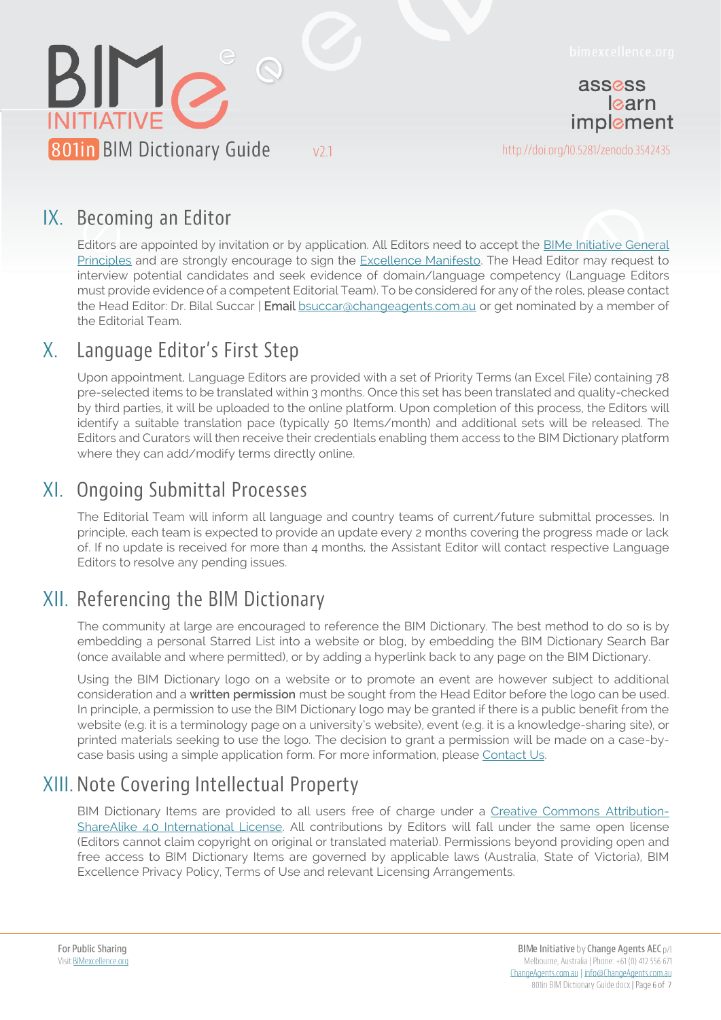

### IX. Becoming an Editor

Editors are appointed by invitation or by application. All Editors need to accept the **BIMe Initiative General** [Principles](https://bimexcellence.org/principles/manifesto/) and are strongly encourage to sign the [Excellence Manifesto.](https://bimexcellence.org/principles/manifesto/) The Head Editor may request to interview potential candidates and seek evidence of domain/language competency (Language Editors must provide evidence of a competent Editorial Team). To be considered for any of the roles, please contact the Head Editor: Dr. Bilal Succar | Email [bsuccar@changeagents.com.au](mailto:bsuccar@changeagents.com.au) or get nominated by a member of the Editorial Team.

#### Language Editor's First Step X.

Upon appointment, Language Editors are provided with a set of Priority Terms (an Excel File) containing 78 pre-selected items to be translated within 3 months. Once this set has been translated and quality-checked by third parties, it will be uploaded to the online platform. Upon completion of this process, the Editors will identify a suitable translation pace (typically 50 Items/month) and additional sets will be released. The Editors and Curators will then receive their credentials enabling them access to the BIM Dictionary platform where they can add/modify terms directly online.

### XI. Ongoing Submittal Processes

The Editorial Team will inform all language and country teams of current/future submittal processes. In principle, each team is expected to provide an update every 2 months covering the progress made or lack of. If no update is received for more than 4 months, the Assistant Editor will contact respective Language Editors to resolve any pending issues.

# XII. Referencing the BIM Dictionary

The community at large are encouraged to reference the BIM Dictionary. The best method to do so is by embedding a personal Starred List into a website or blog, by embedding the BIM Dictionary Search Bar (once available and where permitted), or by adding a hyperlink back to any page on the BIM Dictionary.

Using the BIM Dictionary logo on a website or to promote an event are however subject to additional consideration and a **written permission** must be sought from the Head Editor before the logo can be used. In principle, a permission to use the BIM Dictionary logo may be granted if there is a public benefit from the website (e.g. it is a terminology page on a university's website), event (e.g. it is a knowledge-sharing site), or printed materials seeking to use the logo. The decision to grant a permission will be made on a case-bycase basis using a simple application form. For more information, please [Contact Us.](https://bimexcellence.org/contact/)

## XIII. Note Covering Intellectual Property

BIM Dictionary Items are provided to all users free of charge under a [Creative Commons Attribution-](http://creativecommons.org/licenses/by-sa/4.0/)ShareAlike [4.0 International License.](http://creativecommons.org/licenses/by-sa/4.0/) All contributions by Editors will fall under the same open license (Editors cannot claim copyright on original or translated material). Permissions beyond providing open and free access to BIM Dictionary Items are governed by applicable laws (Australia, State of Victoria), BIM Excellence Privacy Policy, Terms of Use and relevant Licensing Arrangements.